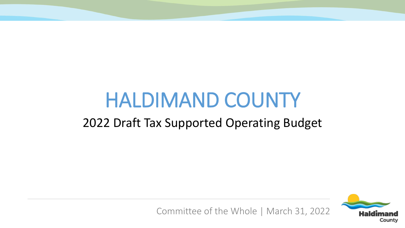# HALDIMAND COUNTY

#### 2022 Draft Tax Supported Operating Budget



Committee of the Whole | March 31, 2022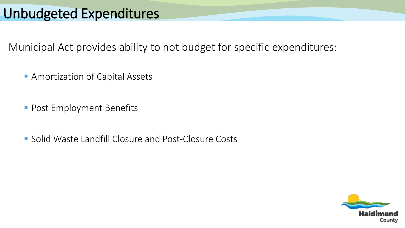#### Unbudgeted Expenditures

Municipal Act provides ability to not budget for specific expenditures:

**Amortization of Capital Assets** 

**Post Employment Benefits** 

**Solid Waste Landfill Closure and Post-Closure Costs** 

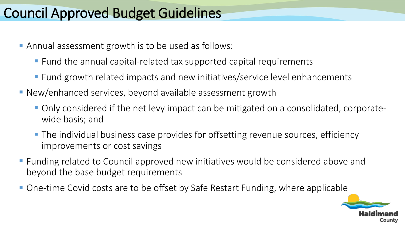## Council Approved Budget Guidelines

- Annual assessment growth is to be used as follows:
	- Fund the annual capital-related tax supported capital requirements
	- Fund growth related impacts and new initiatives/service level enhancements
- New/enhanced services, beyond available assessment growth
	- Only considered if the net levy impact can be mitigated on a consolidated, corporatewide basis; and
	- **The individual business case provides for offsetting revenue sources, efficiency** improvements or cost savings
- **F** Funding related to Council approved new initiatives would be considered above and beyond the base budget requirements
- One-time Covid costs are to be offset by Safe Restart Funding, where applicable

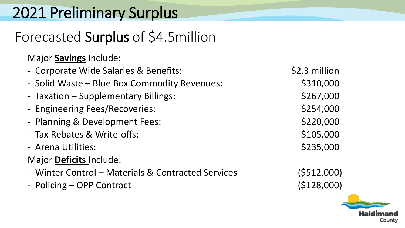# 2021 Preliminary Surplus

# Forecasted Surplus of \$4.5million

Major **Savings** Include:

- Corporate Wide Salaries & Benefits:  $\frac{1}{2}$  \$2.3 million
- Solid Waste Blue Box Commodity Revenues:  $\sim$  \$310,000
- Taxation Supplementary Billings:  $$267,000$
- Engineering Fees/Recoveries:  $$254,000$
- Planning & Development Fees:  $$220,000$
- Tax Rebates & Write-offs:  $\sim$  \$105,000
- Arena Utilities:  $\sim$  8235,000

#### Major **Deficits** Include:

- Winter Control Materials & Contracted Services (\$512,000)
- Policing OPP Contract (\$128,000)

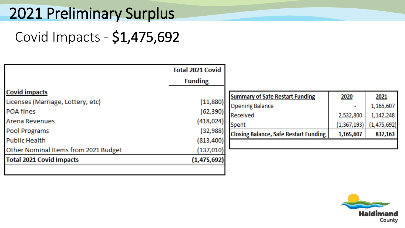# 2021 Preliminary Surplus

# Covid Impacts - \$1,475,692

|                                      | <b>Total 2021 Covid</b><br><b>Funding</b> |                                              |             |             |
|--------------------------------------|-------------------------------------------|----------------------------------------------|-------------|-------------|
| <b>Covid impacts</b>                 |                                           |                                              |             |             |
|                                      |                                           | <b>Summary of Safe Restart Funding</b>       | 2020        | 2021        |
| Licenses (Marriage, Lottery, etc)    | (11,880)                                  | <b>Opening Balance</b>                       |             | 1,165,607   |
| <b>POA fines</b>                     | (62, 390)                                 | Received                                     |             |             |
| <b>Arena Revenues</b>                | (418, 024)                                |                                              | 2,532,800   | 1,142,248   |
|                                      |                                           | Spent                                        | (1,367,193) | (1,475,692) |
| <b>Pool Programs</b>                 | (32, 988)                                 | <b>Closing Balance, Safe Restart Funding</b> | 1,165,607   | 832,163     |
| <b>Public Health</b>                 | (813, 400)                                |                                              |             |             |
| Other Nominal Items from 2021 Budget | (137,010)                                 |                                              |             |             |
| <b>Total 2021 Covid Impacts</b>      | (1,475,692)                               |                                              |             |             |
|                                      |                                           |                                              |             |             |

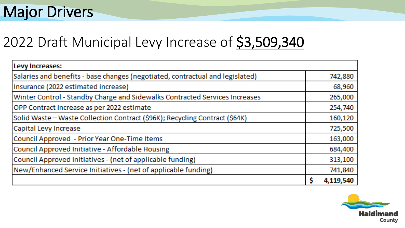# **Major Drivers**

## 2022 Draft Municipal Levy Increase of \$3,509,340

| Levy Increases:                                                               |   |           |
|-------------------------------------------------------------------------------|---|-----------|
| Salaries and benefits - base changes (negotiated, contractual and legislated) |   | 742,880   |
| Insurance (2022 estimated increase)                                           |   | 68,960    |
| Winter Control - Standby Charge and Sidewalks Contracted Services Increases   |   | 265,000   |
| OPP Contract increase as per 2022 estimate                                    |   | 254,740   |
| Solid Waste - Waste Collection Contract (\$96K); Recycling Contract (\$64K)   |   | 160,120   |
| Capital Levy Increase                                                         |   | 725,500   |
| Council Approved - Prior Year One-Time Items                                  |   | 163,000   |
| Council Approved Initiative - Affordable Housing                              |   | 684,400   |
| Council Approved Initiatives - (net of applicable funding)                    |   | 313,100   |
| New/Enhanced Service Initiatives - (net of applicable funding)                |   | 741,840   |
|                                                                               | Ŝ | 4,119,540 |

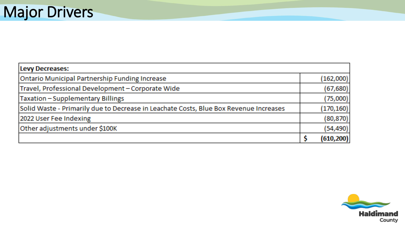| Levy Decreases:                                                                       |            |
|---------------------------------------------------------------------------------------|------------|
| <b>Ontario Municipal Partnership Funding Increase</b>                                 | (162,000)  |
| Travel, Professional Development - Corporate Wide                                     | (67, 680)  |
| Taxation - Supplementary Billings                                                     | (75,000)   |
| Solid Waste - Primarily due to Decrease in Leachate Costs, Blue Box Revenue Increases | (170, 160) |
| 2022 User Fee Indexing                                                                | (80, 870)  |
| Other adjustments under \$100K                                                        | (54, 490)  |
|                                                                                       | (610, 200) |

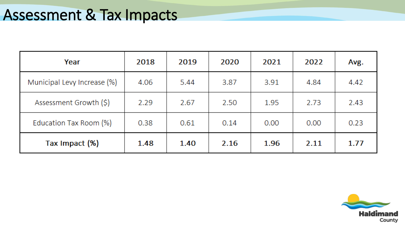| Year                        | 2018 | 2019 | 2020 | 2021 | 2022 | Avg. |
|-----------------------------|------|------|------|------|------|------|
| Municipal Levy Increase (%) | 4.06 | 5.44 | 3.87 | 3.91 | 4.84 | 4.42 |
| Assessment Growth (\$)      | 2.29 | 2.67 | 2.50 | 1.95 | 2.73 | 2.43 |
| Education Tax Room (%)      | 0.38 | 0.61 | 0.14 | 0.00 | 0.00 | 0.23 |
| Tax Impact (%)              | 1.48 | 1.40 | 2.16 | 1.96 | 2.11 | 1.77 |

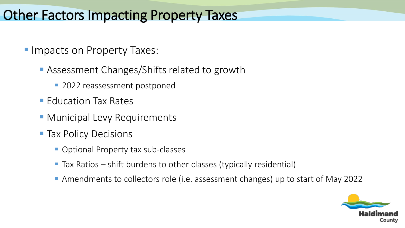#### Other Factors Impacting Property Taxes

- **Impacts on Property Taxes:** 
	- **Assessment Changes/Shifts related to growth** 
		- **2022 reassessment postponed**
	- Education Tax Rates
	- **Municipal Levy Requirements**
	- **Tax Policy Decisions** 
		- **Optional Property tax sub-classes**
		- Tax Ratios shift burdens to other classes (typically residential)
		- Amendments to collectors role (i.e. assessment changes) up to start of May 2022

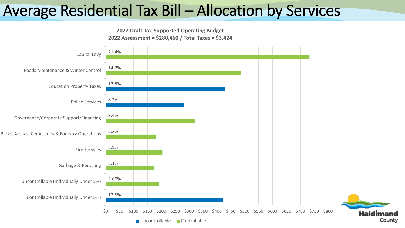# Average Residential Tax Bill – Allocation by Services



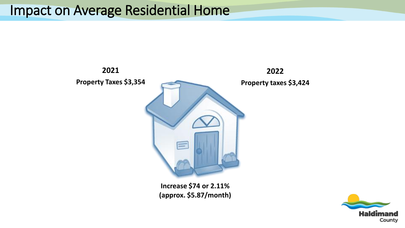#### Impact on Average Residential Home



**(approx. \$5.87/month)**